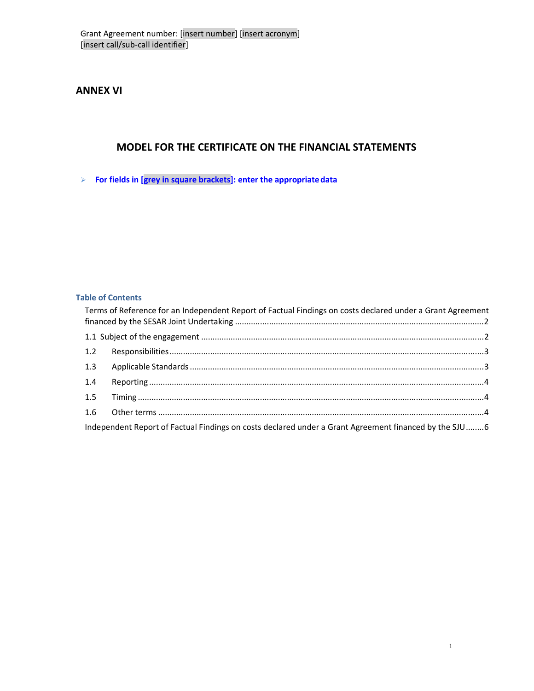**ANNEX VI** 

# **MODEL FOR THE CERTIFICATE ON THE FINANCIAL STATEMENTS**

**For fields in [grey in square brackets]: enter the appropriate data**

# **Table of Contents**

|     | Terms of Reference for an Independent Report of Factual Findings on costs declared under a Grant Agreement |  |
|-----|------------------------------------------------------------------------------------------------------------|--|
|     |                                                                                                            |  |
|     |                                                                                                            |  |
|     |                                                                                                            |  |
| 1.4 |                                                                                                            |  |
| 1.5 |                                                                                                            |  |
|     |                                                                                                            |  |
|     | Independent Report of Factual Findings on costs declared under a Grant Agreement financed by the SJU 6     |  |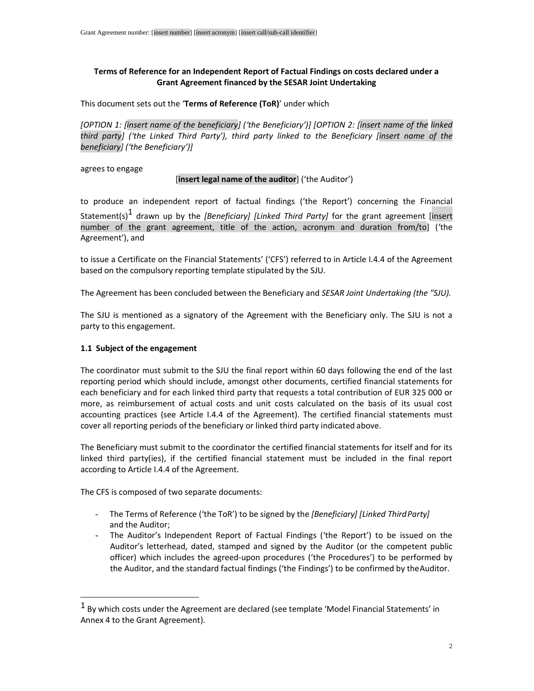### **Terms of Reference for an Independent Report of Factual Findings on costs declared under a Grant Agreement financed by the SESAR Joint Undertaking**

This document sets out the '**Terms of Reference (ToR)**' under which

*[OPTION 1: [insert name of the beneficiary] ('the Beneficiary')] [OPTION 2: [insert name of the linked third party] ('the Linked Third Party'), third party linked to the Beneficiary [insert name of the beneficiary] ('the Beneficiary')]* 

agrees to engage

#### [**insert legal name of the auditor**] ('the Auditor')

to produce an independent report of factual findings ('the Report') concerning the Financial Statement(s)1 drawn up by the *[Beneficiary] [Linked Third Party]* for the grant agreement [insert number of the grant agreement, title of the action, acronym and duration from/to] ('the Agreement'), and

to issue a Certificate on the Financial Statements' ('CFS') referred to in Article I.4.4 of the Agreement based on the compulsory reporting template stipulated by the SJU.

The Agreement has been concluded between the Beneficiary and *SESAR Joint Undertaking (the "SJU).* 

The SJU is mentioned as a signatory of the Agreement with the Beneficiary only. The SJU is not a party to this engagement.

#### **1.1 Subject of the engagement**

The coordinator must submit to the SJU the final report within 60 days following the end of the last reporting period which should include, amongst other documents, certified financial statements for each beneficiary and for each linked third party that requests a total contribution of EUR 325 000 or more, as reimbursement of actual costs and unit costs calculated on the basis of its usual cost accounting practices (see Article I.4.4 of the Agreement). The certified financial statements must cover all reporting periods of the beneficiary or linked third party indicated above.

The Beneficiary must submit to the coordinator the certified financial statements for itself and for its linked third party(ies), if the certified financial statement must be included in the final report according to Article I.4.4 of the Agreement.

The CFS is composed of two separate documents:

- The Terms of Reference ('the ToR') to be signed by the *[Beneficiary] [Linked Third Party]*  and the Auditor;
- The Auditor's Independent Report of Factual Findings ('the Report') to be issued on the Auditor's letterhead, dated, stamped and signed by the Auditor (or the competent public officer) which includes the agreed-upon procedures ('the Procedures') to be performed by the Auditor, and the standard factual findings ('the Findings') to be confirmed by the Auditor.

 $1$  By which costs under the Agreement are declared (see template 'Model Financial Statements' in Annex 4 to the Grant Agreement).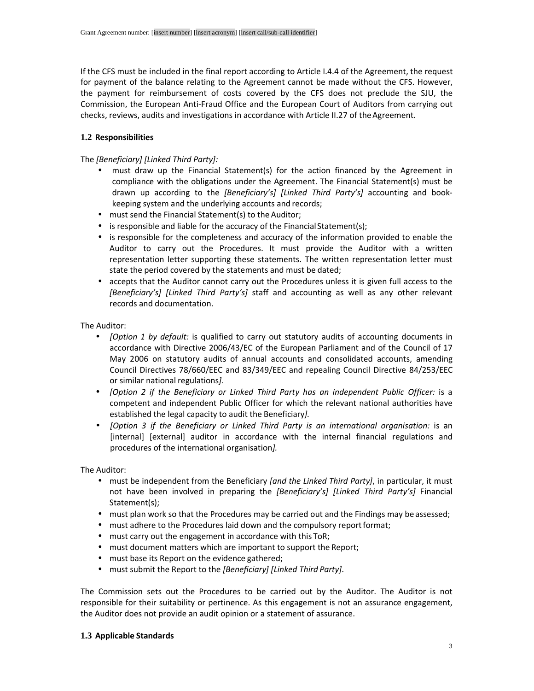If the CFS must be included in the final report according to Article I.4.4 of the Agreement, the request for payment of the balance relating to the Agreement cannot be made without the CFS. However, the payment for reimbursement of costs covered by the CFS does not preclude the SJU, the Commission, the European Anti-Fraud Office and the European Court of Auditors from carrying out checks, reviews, audits and investigations in accordance with Article II.27 of the Agreement.

### **1.2 Responsibilities**

### The *[Beneficiary] [Linked Third Party]:*

- must draw up the Financial Statement(s) for the action financed by the Agreement in compliance with the obligations under the Agreement. The Financial Statement(s) must be drawn up according to the *[Beneficiary's] [Linked Third Party's]* accounting and bookkeeping system and the underlying accounts and records;
- must send the Financial Statement(s) to the Auditor;
- is responsible and liable for the accuracy of the Financial Statement(s);
- is responsible for the completeness and accuracy of the information provided to enable the Auditor to carry out the Procedures. It must provide the Auditor with a written representation letter supporting these statements. The written representation letter must state the period covered by the statements and must be dated;
- accepts that the Auditor cannot carry out the Procedures unless it is given full access to the *[Beneficiary's] [Linked Third Party's]* staff and accounting as well as any other relevant records and documentation.

The Auditor:

- *[Option 1 by default:* is qualified to carry out statutory audits of accounting documents in accordance with Directive 2006/43/EC of the European Parliament and of the Council of 17 May 2006 on statutory audits of annual accounts and consolidated accounts, amending Council Directives 78/660/EEC and 83/349/EEC and repealing Council Directive 84/253/EEC or similar national regulations*]*.
- *[Option 2 if the Beneficiary or Linked Third Party has an independent Public Officer:* is a competent and independent Public Officer for which the relevant national authorities have established the legal capacity to audit the Beneficiary*].*
- *[Option 3 if the Beneficiary or Linked Third Party is an international organisation:* is an [internal] [external] auditor in accordance with the internal financial regulations and procedures of the international organisation*].*

The Auditor:

- must be independent from the Beneficiary *[and the Linked Third Party]*, in particular, it must not have been involved in preparing the *[Beneficiary's] [Linked Third Party's]* Financial Statement(s);
- must plan work so that the Procedures may be carried out and the Findings may be assessed;
- must adhere to the Procedures laid down and the compulsory report format;
- must carry out the engagement in accordance with this ToR;
- must document matters which are important to support the Report;
- must base its Report on the evidence gathered;
- must submit the Report to the *[Beneficiary] [Linked Third Party]*.

The Commission sets out the Procedures to be carried out by the Auditor. The Auditor is not responsible for their suitability or pertinence. As this engagement is not an assurance engagement, the Auditor does not provide an audit opinion or a statement of assurance.

#### **1.3 Applicable Standards**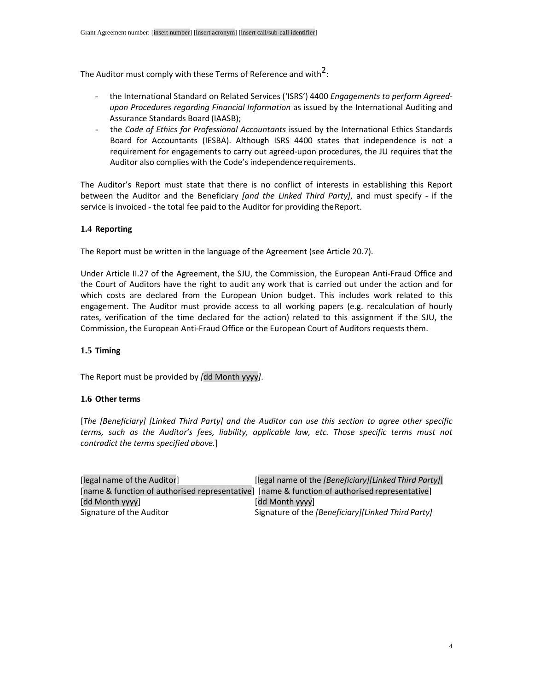The Auditor must comply with these Terms of Reference and with $^2$ :

- the International Standard on Related Services ('ISRS') 4400 *Engagements to perform Agreedupon Procedures regarding Financial Information* as issued by the International Auditing and Assurance Standards Board (IAASB);
- the *Code of Ethics for Professional Accountants* issued by the International Ethics Standards Board for Accountants (IESBA). Although ISRS 4400 states that independence is not a requirement for engagements to carry out agreed-upon procedures, the JU requires that the Auditor also complies with the Code's independence requirements.

The Auditor's Report must state that there is no conflict of interests in establishing this Report between the Auditor and the Beneficiary *[and the Linked Third Party]*, and must specify - if the service is invoiced - the total fee paid to the Auditor for providing the Report.

### **1.4 Reporting**

The Report must be written in the language of the Agreement (see Article 20.7).

Under Article II.27 of the Agreement, the SJU, the Commission, the European Anti-Fraud Office and the Court of Auditors have the right to audit any work that is carried out under the action and for which costs are declared from the European Union budget. This includes work related to this engagement. The Auditor must provide access to all working papers (e.g. recalculation of hourly rates, verification of the time declared for the action) related to this assignment if the SJU, the Commission, the European Anti-Fraud Office or the European Court of Auditors requests them.

### **1.5 Timing**

The Report must be provided by *[*dd Month yyyy*]*.

#### **1.6 Other terms**

[*The [Beneficiary] [Linked Third Party] and the Auditor can use this section to agree other specific terms, such as the Auditor's fees, liability, applicable law, etc. Those specific terms must not contradict the terms specified above.*]

| [legal name of the Auditor] | [legal name of the [Beneficiary][Linked Third Party]]                                         |
|-----------------------------|-----------------------------------------------------------------------------------------------|
|                             | [name & function of authorised representative] [name & function of authorised representative] |
| [dd Month yyyy]             | [dd Month yyyy]                                                                               |
| Signature of the Auditor    | Signature of the <i>[Beneficiary][Linked Third Party]</i>                                     |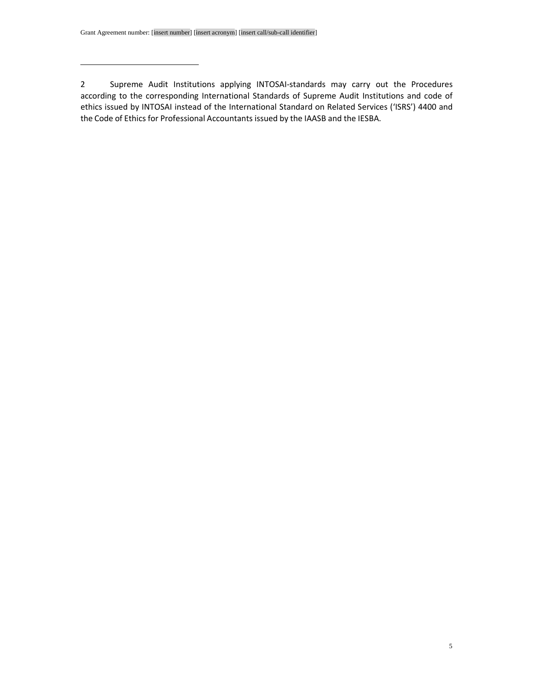2 Supreme Audit Institutions applying INTOSAI-standards may carry out the Procedures according to the corresponding International Standards of Supreme Audit Institutions and code of ethics issued by INTOSAI instead of the International Standard on Related Services ('ISRS') 4400 and the Code of Ethics for Professional Accountants issued by the IAASB and the IESBA.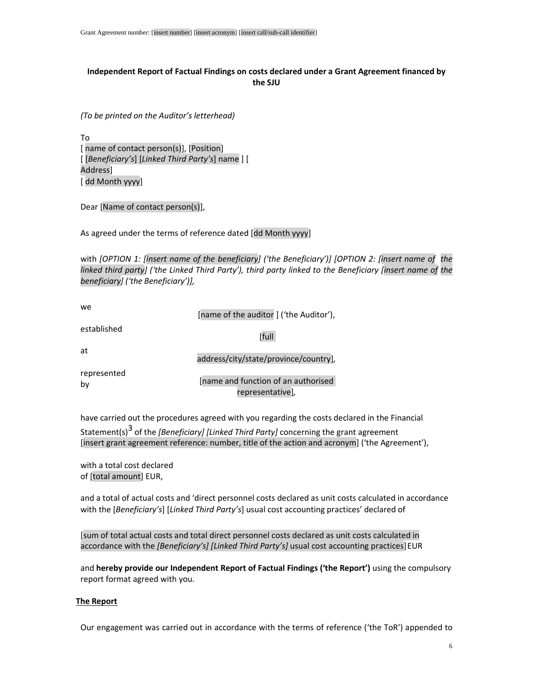### **Independent Report of Factual Findings on costs declared under a Grant Agreement financed by the SJU**

*(To be printed on the Auditor's letterhead)* 

To [ name of contact person(s)], [Position] [ [*Beneficiary's*] [*Linked Third Party's*] name ] [ Address] [ dd Month yyyy]

Dear [Name of contact person(s)],

As agreed under the terms of reference dated [dd Month yyyy]

with *[OPTION 1: [insert name of the beneficiary] ('the Beneficiary')] [OPTION 2: [insert name of the linked third party] ('the Linked Third Party'), third party linked to the Beneficiary [insert name of the beneficiary] ('the Beneficiary')],* 

| we.               | [name of the auditor] ('the Auditor'),                  |
|-------------------|---------------------------------------------------------|
| established       | [full                                                   |
| at                | address/city/state/province/country],                   |
| represented<br>by | [name and function of an authorised<br>representative], |

have carried out the procedures agreed with you regarding the costs declared in the Financial Statement(s)3 of the *[Beneficiary] [Linked Third Party]* concerning the grant agreement [insert grant agreement reference: number, title of the action and acronym] ('the Agreement'),

with a total cost declared of [total amount] EUR,

and a total of actual costs and 'direct personnel costs declared as unit costs calculated in accordance with the [*Beneficiary's*] [*Linked Third Party's*] usual cost accounting practices' declared of

[sum of total actual costs and total direct personnel costs declared as unit costs calculated in accordance with the *[Beneficiary's] [Linked Third Party's]* usual cost accounting practices] EUR

and **hereby provide our Independent Report of Factual Findings ('the Report')** using the compulsory report format agreed with you.

#### **The Report**

Our engagement was carried out in accordance with the terms of reference ('the ToR') appended to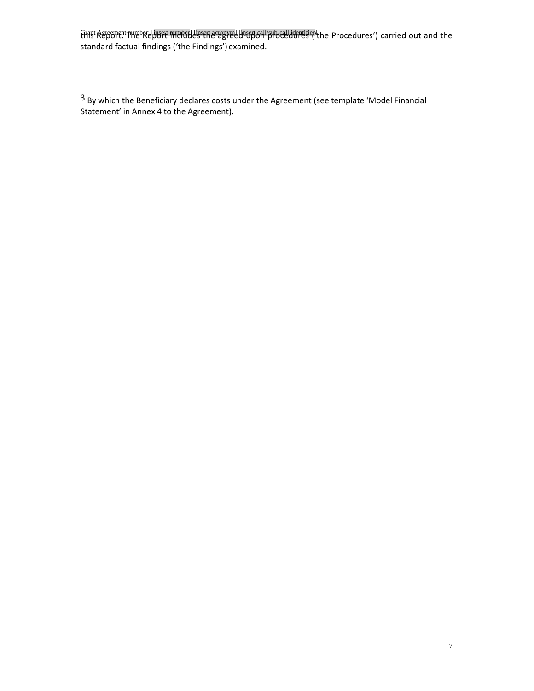Grant Agreement number: [insert number] [insert acronym] [insert call/sub-call identifier] this Report. The Report includes the agreed-upon procedures ('the Procedures') carried out and the standard factual findings ('the Findings') examined.

<sup>3</sup> By which the Beneficiary declares costs under the Agreement (see template 'Model Financial Statement' in Annex 4 to the Agreement).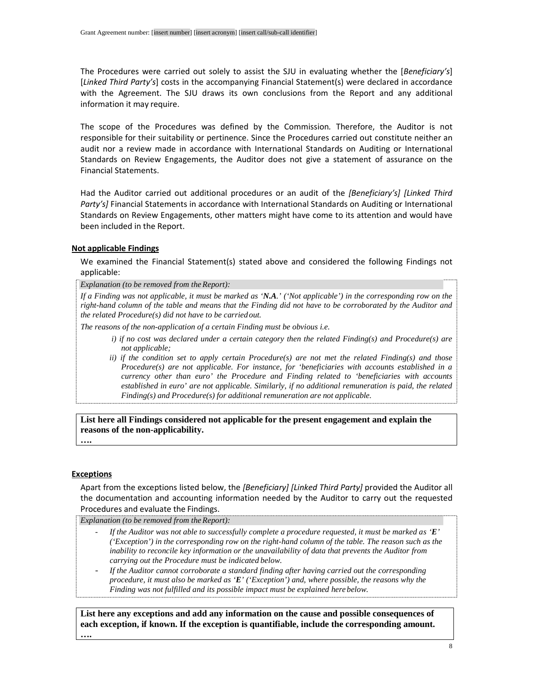The Procedures were carried out solely to assist the SJU in evaluating whether the [*Beneficiary's*] [*Linked Third Party's*] costs in the accompanying Financial Statement(s) were declared in accordance with the Agreement. The SJU draws its own conclusions from the Report and any additional information it may require.

The scope of the Procedures was defined by the Commission*.* Therefore, the Auditor is not responsible for their suitability or pertinence. Since the Procedures carried out constitute neither an audit nor a review made in accordance with International Standards on Auditing or International Standards on Review Engagements, the Auditor does not give a statement of assurance on the Financial Statements.

Had the Auditor carried out additional procedures or an audit of the *[Beneficiary's] [Linked Third Party's]* Financial Statements in accordance with International Standards on Auditing or International Standards on Review Engagements, other matters might have come to its attention and would have been included in the Report.

#### **Not applicable Findings**

We examined the Financial Statement(s) stated above and considered the following Findings not applicable:

*Explanation (to be removed from the Report):* 

*If a Finding was not applicable, it must be marked as 'N.A.' ('Not applicable') in the corresponding row on the right-hand column of the table and means that the Finding did not have to be corroborated by the Auditor and the related Procedure(s) did not have to be carried out.* 

*The reasons of the non-application of a certain Finding must be obvious i.e.* 

- *i) if no cost was declared under a certain category then the related Finding(s) and Procedure(s) are not applicable;*
- *ii) if the condition set to apply certain Procedure(s) are not met the related Finding(s) and those Procedure(s) are not applicable. For instance, for 'beneficiaries with accounts established in a currency other than euro' the Procedure and Finding related to 'beneficiaries with accounts established in euro' are not applicable. Similarly, if no additional remuneration is paid, the related Finding(s) and Procedure(s) for additional remuneration are not applicable.*

**List here all Findings considered not applicable for the present engagement and explain the reasons of the non-applicability. ….** 

#### **Exceptions**

Apart from the exceptions listed below, the *[Beneficiary] [Linked Third Party]* provided the Auditor all the documentation and accounting information needed by the Auditor to carry out the requested Procedures and evaluate the Findings.

*Explanation (to be removed from the Report):*

- *If the Auditor was not able to successfully complete a procedure requested, it must be marked as 'E' ('Exception') in the corresponding row on the right-hand column of the table. The reason such as the inability to reconcile key information or the unavailability of data that prevents the Auditor from carrying out the Procedure must be indicated below.*
- *If the Auditor cannot corroborate a standard finding after having carried out the corresponding procedure, it must also be marked as 'E' ('Exception') and, where possible, the reasons why the Finding was not fulfilled and its possible impact must be explained here below.*

**List here any exceptions and add any information on the cause and possible consequences of each exception, if known. If the exception is quantifiable, include the corresponding amount.**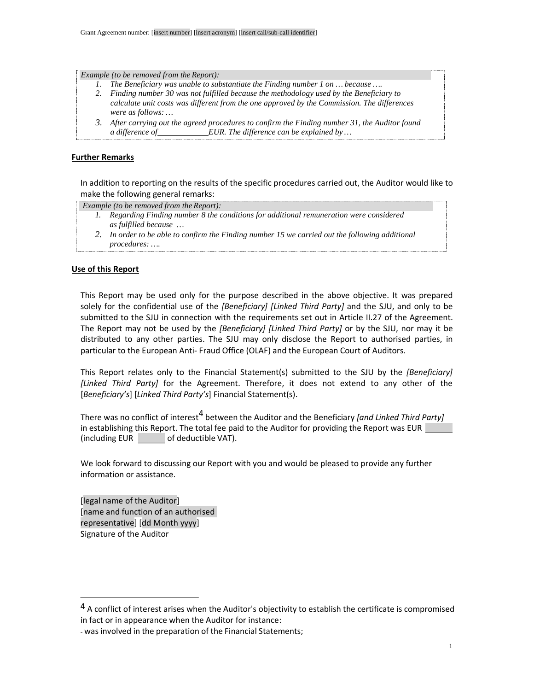*Example (to be removed from the Report):* 

- *1. The Beneficiary was unable to substantiate the Finding number 1 on … because ….*
- *2. Finding number 30 was not fulfilled because the methodology used by the Beneficiary to calculate unit costs was different from the one approved by the Commission. The differences were as follows: …*
- *3. After carrying out the agreed procedures to confirm the Finding number 31, the Auditor found a difference of EUR. The difference can be explained by …*

## **Further Remarks**

In addition to reporting on the results of the specific procedures carried out, the Auditor would like to make the following general remarks:

 *Example (to be removed from the Report):* 

- *1. Regarding Finding number 8 the conditions for additional remuneration were considered as fulfilled because …*
- *2. In order to be able to confirm the Finding number 15 we carried out the following additional procedures: ….*

### **Use of this Report**

This Report may be used only for the purpose described in the above objective. It was prepared solely for the confidential use of the *[Beneficiary] [Linked Third Party]* and the SJU, and only to be submitted to the SJU in connection with the requirements set out in Article II.27 of the Agreement. The Report may not be used by the *[Beneficiary] [Linked Third Party]* or by the SJU, nor may it be distributed to any other parties. The SJU may only disclose the Report to authorised parties, in particular to the European Anti- Fraud Office (OLAF) and the European Court of Auditors.

This Report relates only to the Financial Statement(s) submitted to the SJU by the *[Beneficiary] [Linked Third Party]* for the Agreement. Therefore, it does not extend to any other of the [*Beneficiary's*] [*Linked Third Party's*] Financial Statement(s).

There was no conflict of interest<sup>4</sup> between the Auditor and the Beneficiary *[and Linked Third Party]* in establishing this Report. The total fee paid to the Auditor for providing the Report was EUR (including EUR of deductible VAT).

We look forward to discussing our Report with you and would be pleased to provide any further information or assistance.

[legal name of the Auditor] [name and function of an authorised representative] [dd Month yyyy] Signature of the Auditor

<sup>&</sup>lt;sup>4</sup> A conflict of interest arises when the Auditor's objectivity to establish the certificate is compromised in fact or in appearance when the Auditor for instance:

<sup>-</sup> was involved in the preparation of the Financial Statements;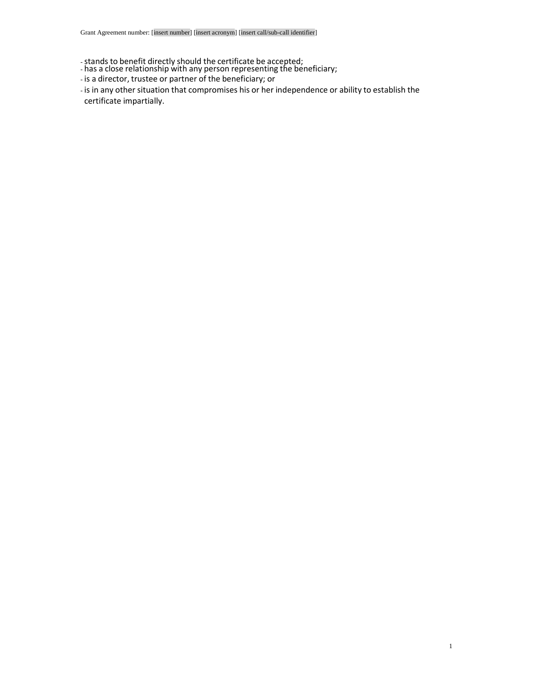- -stands to benefit directly should the certificate be accepted;
- has a close relationship with any person representing the beneficiary;
- is a director, trustee or partner of the beneficiary; or
- is in any other situation that compromises his or her independence or ability to establish the certificate impartially.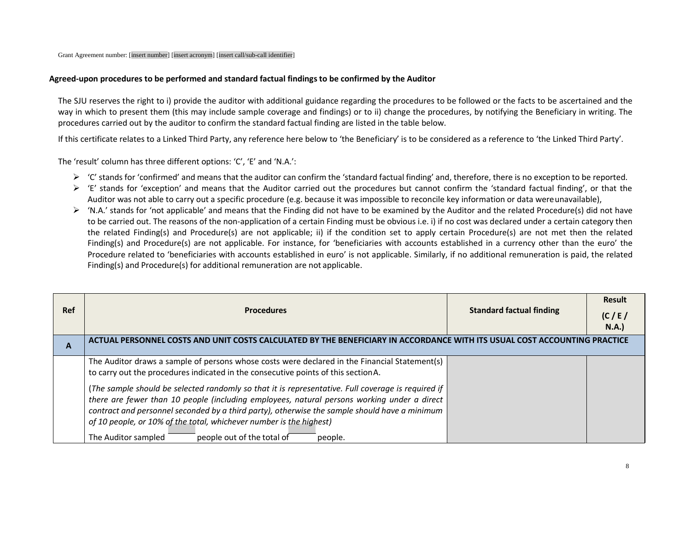#### **Agreed-upon procedures to be performed and standard factual findings to be confirmed by the Auditor**

The SJU reserves the right to i) provide the auditor with additional guidance regarding the procedures to be followed or the facts to be ascertained and the way in which to present them (this may include sample coverage and findings) or to ii) change the procedures, by notifying the Beneficiary in writing. The procedures carried out by the auditor to confirm the standard factual finding are listed in the table below.

If this certificate relates to a Linked Third Party, any reference here below to 'the Beneficiary' is to be considered as a reference to 'the Linked Third Party'.

The 'result' column has three different options: 'C', 'E' and 'N.A.':

- $\triangleright$  'C' stands for 'confirmed' and means that the auditor can confirm the 'standard factual finding' and, therefore, there is no exception to be reported.<br>So it's stands for (succetion' and means that the Auditor carri
- $\triangleright$  'E' stands for 'exception' and means that the Auditor carried out the procedures but cannot confirm the 'standard factual finding', or that the  $\triangleright$ Auditor was not able to carry out a specific procedure (e.g. because it was impossible to reconcile key information or data were unavailable),
- $\triangleright$  'N.A.' stands for 'not applicable' and means that the Finding did not have to be examined by the Auditor and the related Procedure(s) did not have  $\triangleright$  the average of the axe conditation of a sentile Finding must to be carried out. The reasons of the non-application of a certain Finding must be obvious i.e. i) if no cost was declared under a certain category then the related Finding(s) and Procedure(s) are not applicable; ii) if the condition set to apply certain Procedure(s) are not met then the related Finding(s) and Procedure(s) are not applicable. For instance, for 'beneficiaries with accounts established in a currency other than the euro' the Procedure related to 'beneficiaries with accounts established in euro' is not applicable. Similarly, if no additional remuneration is paid, the related Finding(s) and Procedure(s) for additional remuneration are not applicable.

| <b>Ref</b> | <b>Procedures</b>                                                                                                                                                                                                                                                                                                                                                                                                                         | <b>Standard factual finding</b> | <b>Result</b><br>(C/E)<br>N.A. |
|------------|-------------------------------------------------------------------------------------------------------------------------------------------------------------------------------------------------------------------------------------------------------------------------------------------------------------------------------------------------------------------------------------------------------------------------------------------|---------------------------------|--------------------------------|
| A          | ACTUAL PERSONNEL COSTS AND UNIT COSTS CALCULATED BY THE BENEFICIARY IN ACCORDANCE WITH ITS USUAL COST ACCOUNTING PRACTICE                                                                                                                                                                                                                                                                                                                 |                                 |                                |
|            | The Auditor draws a sample of persons whose costs were declared in the Financial Statement(s)<br>to carry out the procedures indicated in the consecutive points of this section A.                                                                                                                                                                                                                                                       |                                 |                                |
|            | (The sample should be selected randomly so that it is representative. Full coverage is required if<br>there are fewer than 10 people (including employees, natural persons working under a direct<br>contract and personnel seconded by a third party), otherwise the sample should have a minimum<br>of 10 people, or 10% of the total, whichever number is the highest)<br>people out of the total of<br>The Auditor sampled<br>people. |                                 |                                |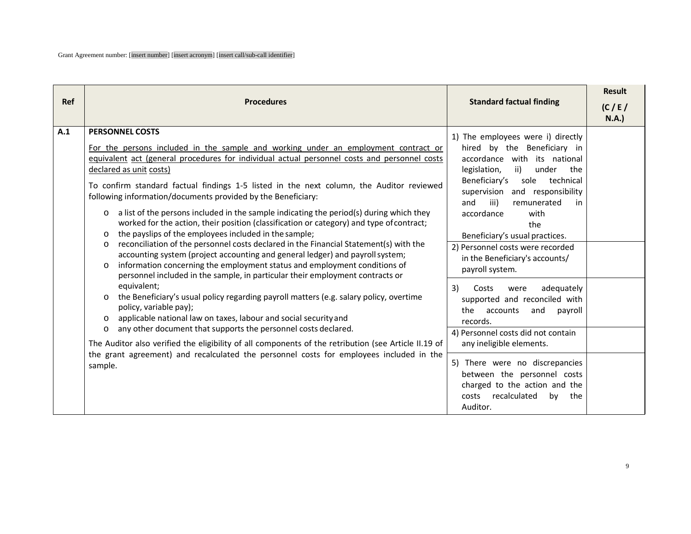| <b>Ref</b> | <b>Procedures</b>                                                                                                                                                                                                                                                                                                                                                                                                                                                                                                                                                                                                                                                                                                                                                                                                                                                                                                                                                                                                                                                                                                                                                                                                                                                                                                                                                                                                                                                                                                                                          | <b>Standard factual finding</b>                                                                                                                                                                                                                                                                                                                                                                                                                                                                                                                                                                                                                                                                                                                          | <b>Result</b><br>(C/E) |
|------------|------------------------------------------------------------------------------------------------------------------------------------------------------------------------------------------------------------------------------------------------------------------------------------------------------------------------------------------------------------------------------------------------------------------------------------------------------------------------------------------------------------------------------------------------------------------------------------------------------------------------------------------------------------------------------------------------------------------------------------------------------------------------------------------------------------------------------------------------------------------------------------------------------------------------------------------------------------------------------------------------------------------------------------------------------------------------------------------------------------------------------------------------------------------------------------------------------------------------------------------------------------------------------------------------------------------------------------------------------------------------------------------------------------------------------------------------------------------------------------------------------------------------------------------------------------|----------------------------------------------------------------------------------------------------------------------------------------------------------------------------------------------------------------------------------------------------------------------------------------------------------------------------------------------------------------------------------------------------------------------------------------------------------------------------------------------------------------------------------------------------------------------------------------------------------------------------------------------------------------------------------------------------------------------------------------------------------|------------------------|
| A.1        | <b>PERSONNEL COSTS</b><br>For the persons included in the sample and working under an employment contract or<br>equivalent act (general procedures for individual actual personnel costs and personnel costs<br>declared as unit costs)<br>To confirm standard factual findings 1-5 listed in the next column, the Auditor reviewed<br>following information/documents provided by the Beneficiary:<br>a list of the persons included in the sample indicating the period(s) during which they<br>$\circ$<br>worked for the action, their position (classification or category) and type of contract;<br>the payslips of the employees included in the sample;<br>$\circ$<br>reconciliation of the personnel costs declared in the Financial Statement(s) with the<br>O<br>accounting system (project accounting and general ledger) and payroll system;<br>information concerning the employment status and employment conditions of<br>$\Omega$<br>personnel included in the sample, in particular their employment contracts or<br>equivalent;<br>the Beneficiary's usual policy regarding payroll matters (e.g. salary policy, overtime<br>$\circ$<br>policy, variable pay);<br>applicable national law on taxes, labour and social security and<br>$\circ$<br>any other document that supports the personnel costs declared.<br>$\circ$<br>The Auditor also verified the eligibility of all components of the retribution (see Article II.19 of<br>the grant agreement) and recalculated the personnel costs for employees included in the<br>sample. | 1) The employees were i) directly<br>hired by the Beneficiary in<br>accordance with its national<br>ii)<br>legislation,<br>under<br>the<br>Beneficiary's<br>technical<br>sole<br>supervision and responsibility<br>and<br>iii)<br>remunerated<br>in<br>accordance<br>with<br>the<br>Beneficiary's usual practices.<br>2) Personnel costs were recorded<br>in the Beneficiary's accounts/<br>payroll system.<br>adequately<br>3)<br>Costs<br>were<br>supported and reconciled with<br>the<br>accounts<br>and<br>payroll<br>records.<br>4) Personnel costs did not contain<br>any ineligible elements.<br>5) There were no discrepancies<br>between the personnel costs<br>charged to the action and the<br>costs<br>recalculated<br>by<br>the<br>Auditor. | N.A.                   |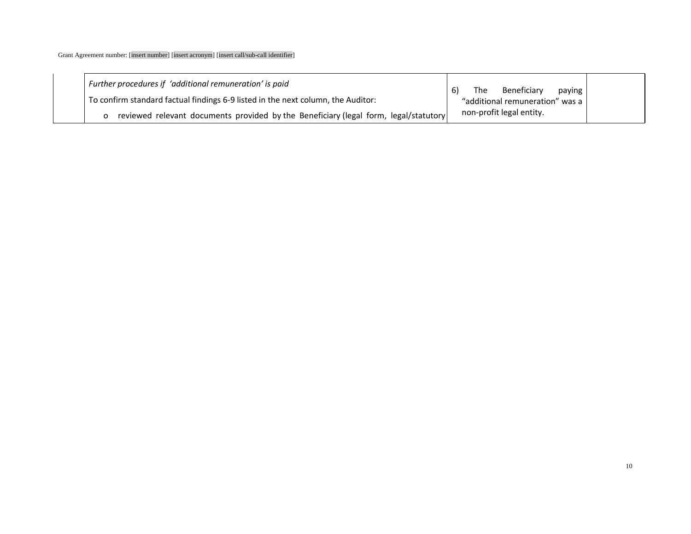| Further procedures if 'additional remuneration' is paid                               | Beneficiary<br>The<br>paying<br>6) |  |
|---------------------------------------------------------------------------------------|------------------------------------|--|
| To confirm standard factual findings 6-9 listed in the next column, the Auditor:      | "additional remuneration" was a    |  |
| reviewed relevant documents provided by the Beneficiary (legal form, legal/statutory) | non-profit legal entity.           |  |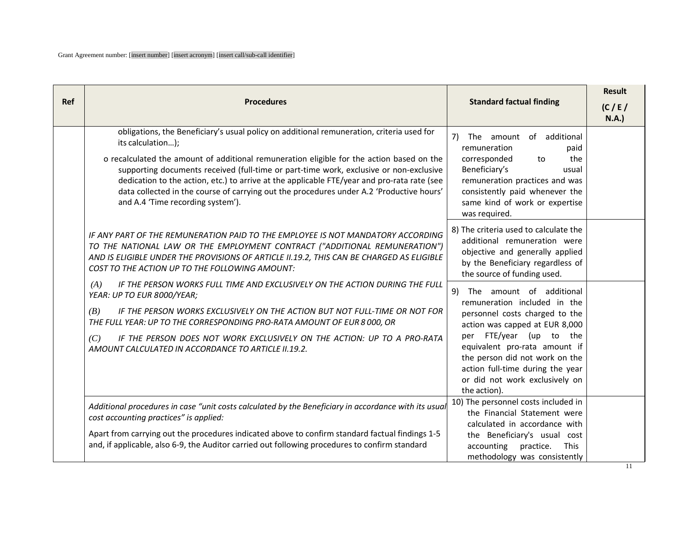| <b>Ref</b> | <b>Procedures</b>                                                                                                                                                                                                                                                                                                                                                                                                                                                                                                                     | <b>Standard factual finding</b>                                                                                                                                                                                                                                                                                     | <b>Result</b><br>(C/E)<br><b>N.A.</b> ) |
|------------|---------------------------------------------------------------------------------------------------------------------------------------------------------------------------------------------------------------------------------------------------------------------------------------------------------------------------------------------------------------------------------------------------------------------------------------------------------------------------------------------------------------------------------------|---------------------------------------------------------------------------------------------------------------------------------------------------------------------------------------------------------------------------------------------------------------------------------------------------------------------|-----------------------------------------|
|            | obligations, the Beneficiary's usual policy on additional remuneration, criteria used for<br>its calculation);<br>o recalculated the amount of additional remuneration eligible for the action based on the<br>supporting documents received (full-time or part-time work, exclusive or non-exclusive<br>dedication to the action, etc.) to arrive at the applicable FTE/year and pro-rata rate (see<br>data collected in the course of carrying out the procedures under A.2 'Productive hours'<br>and A.4 'Time recording system'). | The amount of additional<br>7)<br>remuneration<br>paid<br>the<br>corresponded<br>to<br>Beneficiary's<br>usual<br>remuneration practices and was<br>consistently paid whenever the<br>same kind of work or expertise<br>was required.                                                                                |                                         |
|            | IF ANY PART OF THE REMUNERATION PAID TO THE EMPLOYEE IS NOT MANDATORY ACCORDING<br>TO THE NATIONAL LAW OR THE EMPLOYMENT CONTRACT ("ADDITIONAL REMUNERATION")<br>AND IS ELIGIBLE UNDER THE PROVISIONS OF ARTICLE II.19.2, THIS CAN BE CHARGED AS ELIGIBLE<br>COST TO THE ACTION UP TO THE FOLLOWING AMOUNT:                                                                                                                                                                                                                           | 8) The criteria used to calculate the<br>additional remuneration were<br>objective and generally applied<br>by the Beneficiary regardless of<br>the source of funding used.                                                                                                                                         |                                         |
|            | IF THE PERSON WORKS FULL TIME AND EXCLUSIVELY ON THE ACTION DURING THE FULL<br>(A)<br>YEAR: UP TO EUR 8000/YEAR;<br>(B)<br>IF THE PERSON WORKS EXCLUSIVELY ON THE ACTION BUT NOT FULL-TIME OR NOT FOR<br>THE FULL YEAR: UP TO THE CORRESPONDING PRO-RATA AMOUNT OF EUR 8 000, OR<br>IF THE PERSON DOES NOT WORK EXCLUSIVELY ON THE ACTION: UP TO A PRO-RATA<br>(C)<br>AMOUNT CALCULATED IN ACCORDANCE TO ARTICLE II.19.2.                                                                                                             | 9) The amount of additional<br>remuneration included in the<br>personnel costs charged to the<br>action was capped at EUR 8,000<br>per FTE/year (up to the<br>equivalent pro-rata amount if<br>the person did not work on the<br>action full-time during the year<br>or did not work exclusively on<br>the action). |                                         |
|            | Additional procedures in case "unit costs calculated by the Beneficiary in accordance with its usual<br>cost accounting practices" is applied:<br>Apart from carrying out the procedures indicated above to confirm standard factual findings 1-5<br>and, if applicable, also 6-9, the Auditor carried out following procedures to confirm standard                                                                                                                                                                                   | 10) The personnel costs included in<br>the Financial Statement were<br>calculated in accordance with<br>the Beneficiary's usual cost<br>accounting<br>practice.<br><b>This</b><br>methodology was consistently                                                                                                      |                                         |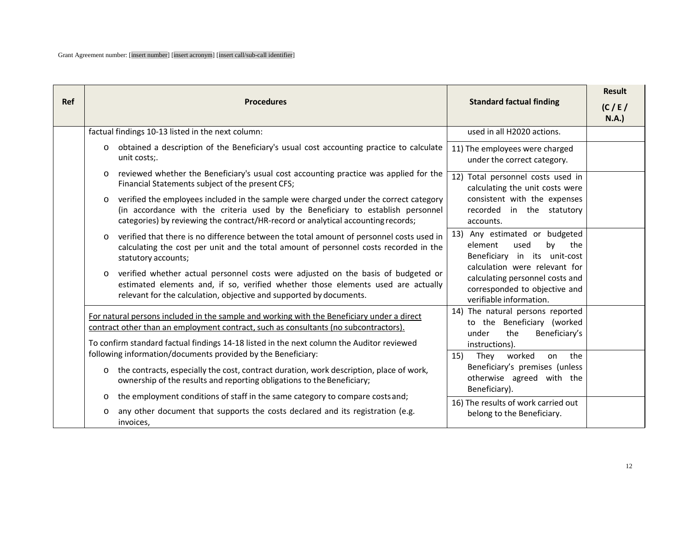| <b>Ref</b> | <b>Procedures</b>                                                                                                                                                                                                                                                        | <b>Standard factual finding</b>                                                                                              | <b>Result</b><br>(C/E)<br><b>N.A.</b> ) |
|------------|--------------------------------------------------------------------------------------------------------------------------------------------------------------------------------------------------------------------------------------------------------------------------|------------------------------------------------------------------------------------------------------------------------------|-----------------------------------------|
|            | factual findings 10-13 listed in the next column:                                                                                                                                                                                                                        | used in all H2020 actions.                                                                                                   |                                         |
|            | obtained a description of the Beneficiary's usual cost accounting practice to calculate<br>$\circ$<br>unit costs;.                                                                                                                                                       | 11) The employees were charged<br>under the correct category.                                                                |                                         |
|            | reviewed whether the Beneficiary's usual cost accounting practice was applied for the<br>$\Omega$<br>Financial Statements subject of the present CFS;                                                                                                                    | 12) Total personnel costs used in<br>calculating the unit costs were                                                         |                                         |
|            | verified the employees included in the sample were charged under the correct category<br>$\circ$<br>(in accordance with the criteria used by the Beneficiary to establish personnel<br>categories) by reviewing the contract/HR-record or analytical accounting records; | consistent with the expenses<br>recorded in the statutory<br>accounts.                                                       |                                         |
|            | verified that there is no difference between the total amount of personnel costs used in<br>$\circ$<br>calculating the cost per unit and the total amount of personnel costs recorded in the<br>statutory accounts;                                                      | Any estimated or budgeted<br>13)<br>element<br>by<br>used<br>the<br>Beneficiary in its unit-cost                             |                                         |
|            | verified whether actual personnel costs were adjusted on the basis of budgeted or<br>$\circ$<br>estimated elements and, if so, verified whether those elements used are actually<br>relevant for the calculation, objective and supported by documents.                  | calculation were relevant for<br>calculating personnel costs and<br>corresponded to objective and<br>verifiable information. |                                         |
|            | For natural persons included in the sample and working with the Beneficiary under a direct<br>contract other than an employment contract, such as consultants (no subcontractors).                                                                                       | 14) The natural persons reported<br>to the Beneficiary (worked<br>Beneficiary's<br>under<br>the                              |                                         |
|            | To confirm standard factual findings 14-18 listed in the next column the Auditor reviewed<br>following information/documents provided by the Beneficiary:                                                                                                                | instructions).<br>worked<br>the<br>15)<br>They<br>on                                                                         |                                         |
|            | the contracts, especially the cost, contract duration, work description, place of work,<br>$\circ$<br>ownership of the results and reporting obligations to the Beneficiary;                                                                                             | Beneficiary's premises (unless<br>otherwise agreed with the<br>Beneficiary).                                                 |                                         |
|            | the employment conditions of staff in the same category to compare costs and;<br>$\circ$<br>any other document that supports the costs declared and its registration (e.g.<br>$\circ$<br>invoices,                                                                       | 16) The results of work carried out<br>belong to the Beneficiary.                                                            |                                         |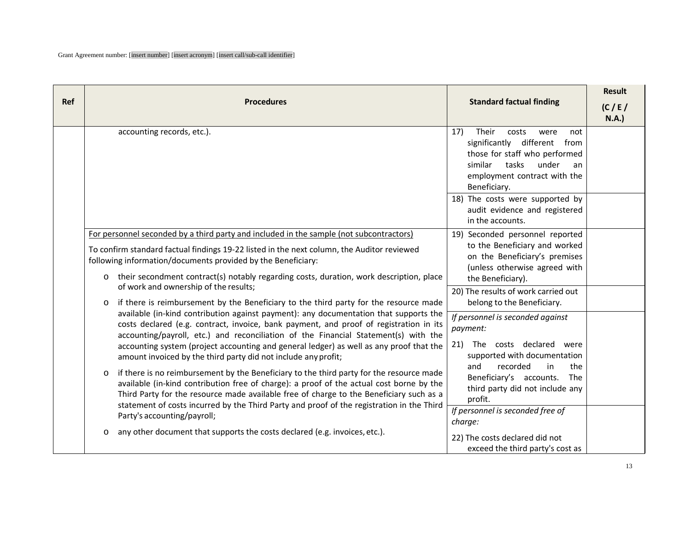| Ref | <b>Procedures</b>                                                                                                                                                                                                                                                                                                                                                                       | <b>Standard factual finding</b>                                                                                                                                                          | <b>Result</b><br>(C/E)<br><b>N.A.)</b> |
|-----|-----------------------------------------------------------------------------------------------------------------------------------------------------------------------------------------------------------------------------------------------------------------------------------------------------------------------------------------------------------------------------------------|------------------------------------------------------------------------------------------------------------------------------------------------------------------------------------------|----------------------------------------|
|     | accounting records, etc.).                                                                                                                                                                                                                                                                                                                                                              | 17)<br>Their<br>costs<br>were<br>not<br>significantly different from<br>those for staff who performed<br>similar<br>tasks<br>under<br>an<br>employment contract with the<br>Beneficiary. |                                        |
|     |                                                                                                                                                                                                                                                                                                                                                                                         | 18) The costs were supported by<br>audit evidence and registered<br>in the accounts.                                                                                                     |                                        |
|     | For personnel seconded by a third party and included in the sample (not subcontractors)                                                                                                                                                                                                                                                                                                 | 19) Seconded personnel reported                                                                                                                                                          |                                        |
|     | To confirm standard factual findings 19-22 listed in the next column, the Auditor reviewed<br>following information/documents provided by the Beneficiary:                                                                                                                                                                                                                              | to the Beneficiary and worked<br>on the Beneficiary's premises<br>(unless otherwise agreed with                                                                                          |                                        |
|     | their secondment contract(s) notably regarding costs, duration, work description, place<br>O<br>of work and ownership of the results;                                                                                                                                                                                                                                                   | the Beneficiary).                                                                                                                                                                        |                                        |
|     | if there is reimbursement by the Beneficiary to the third party for the resource made<br>$\circ$                                                                                                                                                                                                                                                                                        | 20) The results of work carried out<br>belong to the Beneficiary.                                                                                                                        |                                        |
|     | available (in-kind contribution against payment): any documentation that supports the<br>costs declared (e.g. contract, invoice, bank payment, and proof of registration in its<br>accounting/payroll, etc.) and reconciliation of the Financial Statement(s) with the                                                                                                                  | If personnel is seconded against<br>payment:                                                                                                                                             |                                        |
|     | accounting system (project accounting and general ledger) as well as any proof that the<br>amount invoiced by the third party did not include any profit;                                                                                                                                                                                                                               | The costs declared were<br>21)<br>supported with documentation                                                                                                                           |                                        |
|     | if there is no reimbursement by the Beneficiary to the third party for the resource made<br>$\circ$<br>available (in-kind contribution free of charge): a proof of the actual cost borne by the<br>Third Party for the resource made available free of charge to the Beneficiary such as a<br>statement of costs incurred by the Third Party and proof of the registration in the Third | recorded<br>in<br>the<br>and<br>Beneficiary's accounts. The<br>third party did not include any<br>profit.                                                                                |                                        |
|     | Party's accounting/payroll;                                                                                                                                                                                                                                                                                                                                                             | If personnel is seconded free of<br>charge:                                                                                                                                              |                                        |
|     | any other document that supports the costs declared (e.g. invoices, etc.).<br>$\circ$                                                                                                                                                                                                                                                                                                   | 22) The costs declared did not<br>exceed the third party's cost as                                                                                                                       |                                        |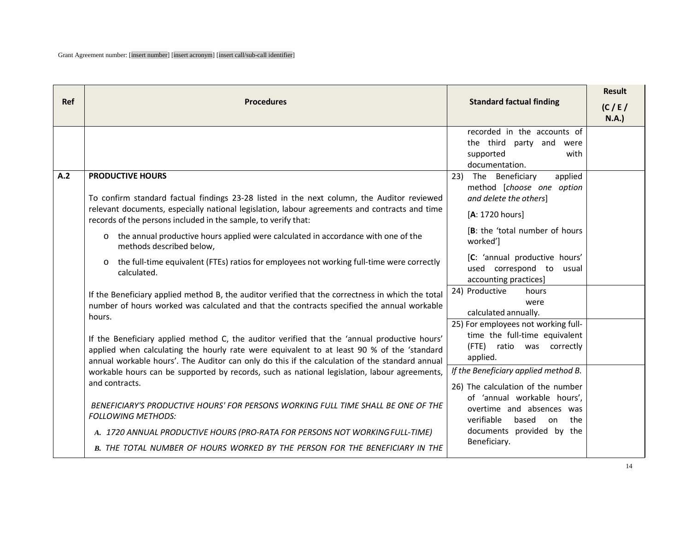|            |                                                                                                                                                                                                                                                                                              |                                                                                                               | <b>Result</b> |
|------------|----------------------------------------------------------------------------------------------------------------------------------------------------------------------------------------------------------------------------------------------------------------------------------------------|---------------------------------------------------------------------------------------------------------------|---------------|
| <b>Ref</b> | <b>Procedures</b>                                                                                                                                                                                                                                                                            | <b>Standard factual finding</b>                                                                               | (C/E)<br>N.A. |
|            |                                                                                                                                                                                                                                                                                              | recorded in the accounts of<br>the third party and<br>were<br>supported<br>with<br>documentation.             |               |
| A.2        | <b>PRODUCTIVE HOURS</b><br>To confirm standard factual findings 23-28 listed in the next column, the Auditor reviewed<br>relevant documents, especially national legislation, labour agreements and contracts and time<br>records of the persons included in the sample, to verify that:     | The Beneficiary<br>23)<br>applied<br>method [choose one option<br>and delete the others]<br>[A: 1720 hours]   |               |
|            | the annual productive hours applied were calculated in accordance with one of the<br>$\circ$<br>methods described below,                                                                                                                                                                     | [B: the 'total number of hours<br>worked']                                                                    |               |
|            | the full-time equivalent (FTEs) ratios for employees not working full-time were correctly<br>O<br>calculated.                                                                                                                                                                                | [C: 'annual productive hours'<br>used correspond to usual<br>accounting practices]                            |               |
|            | If the Beneficiary applied method B, the auditor verified that the correctness in which the total<br>number of hours worked was calculated and that the contracts specified the annual workable<br>hours.                                                                                    | 24) Productive<br>hours<br>were<br>calculated annually.                                                       |               |
|            | If the Beneficiary applied method C, the auditor verified that the 'annual productive hours'<br>applied when calculating the hourly rate were equivalent to at least 90 % of the 'standard<br>annual workable hours'. The Auditor can only do this if the calculation of the standard annual | 25) For employees not working full-<br>time the full-time equivalent<br>(FTE) ratio was correctly<br>applied. |               |
|            | workable hours can be supported by records, such as national legislation, labour agreements,<br>and contracts.                                                                                                                                                                               | If the Beneficiary applied method B.<br>26) The calculation of the number                                     |               |
|            | BENEFICIARY'S PRODUCTIVE HOURS' FOR PERSONS WORKING FULL TIME SHALL BE ONE OF THE<br><b>FOLLOWING METHODS:</b>                                                                                                                                                                               | of 'annual workable hours',<br>overtime and absences was<br>verifiable<br>based<br>on<br>the                  |               |
|            | A. 1720 ANNUAL PRODUCTIVE HOURS (PRO-RATA FOR PERSONS NOT WORKING FULL-TIME)                                                                                                                                                                                                                 | documents provided by the                                                                                     |               |
|            | B. THE TOTAL NUMBER OF HOURS WORKED BY THE PERSON FOR THE BENEFICIARY IN THE                                                                                                                                                                                                                 | Beneficiary.                                                                                                  |               |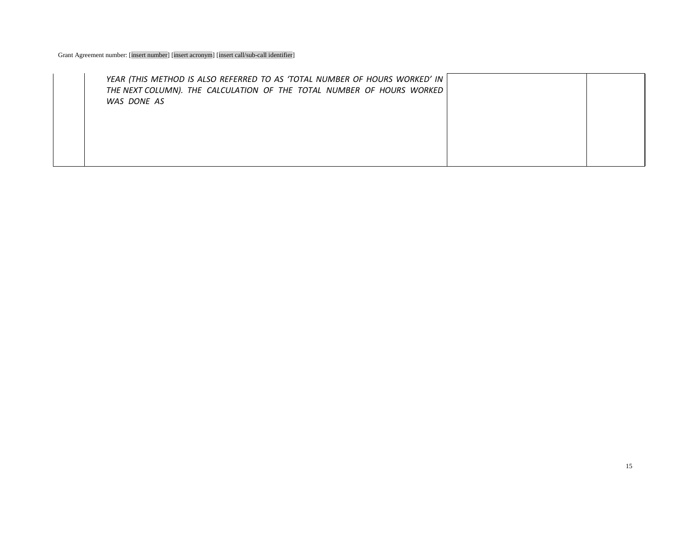| YEAR (THIS METHOD IS ALSO REFERRED TO AS 'TOTAL NUMBER OF HOURS WORKED' IN<br>THE NEXT COLUMN). THE CALCULATION OF THE TOTAL NUMBER OF HOURS WORKED |  |
|-----------------------------------------------------------------------------------------------------------------------------------------------------|--|
| WAS DONE AS                                                                                                                                         |  |
|                                                                                                                                                     |  |
|                                                                                                                                                     |  |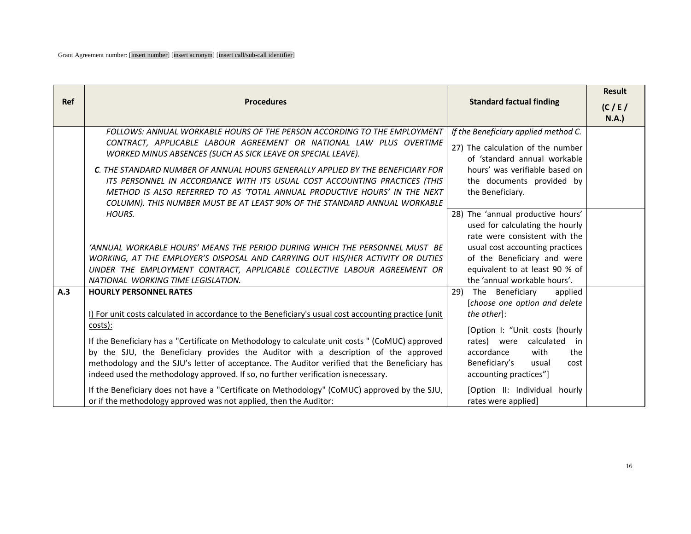| <b>Ref</b> |                                                                                                                                                                                      |                                                                   | <b>Result</b>         |
|------------|--------------------------------------------------------------------------------------------------------------------------------------------------------------------------------------|-------------------------------------------------------------------|-----------------------|
|            | <b>Procedures</b>                                                                                                                                                                    | <b>Standard factual finding</b>                                   | (C/E)<br><b>N.A.)</b> |
|            | FOLLOWS: ANNUAL WORKABLE HOURS OF THE PERSON ACCORDING TO THE EMPLOYMENT<br>CONTRACT, APPLICABLE LABOUR AGREEMENT OR NATIONAL LAW PLUS OVERTIME                                      | If the Beneficiary applied method C.                              |                       |
|            | WORKED MINUS ABSENCES (SUCH AS SICK LEAVE OR SPECIAL LEAVE).                                                                                                                         | 27) The calculation of the number<br>of 'standard annual workable |                       |
|            | C. THE STANDARD NUMBER OF ANNUAL HOURS GENERALLY APPLIED BY THE BENEFICIARY FOR                                                                                                      | hours' was verifiable based on                                    |                       |
|            | ITS PERSONNEL IN ACCORDANCE WITH ITS USUAL COST ACCOUNTING PRACTICES (THIS<br>METHOD IS ALSO REFERRED TO AS 'TOTAL ANNUAL PRODUCTIVE HOURS' IN THE NEXT                              | the documents provided by<br>the Beneficiary.                     |                       |
|            | COLUMN). THIS NUMBER MUST BE AT LEAST 90% OF THE STANDARD ANNUAL WORKABLE<br>HOURS.                                                                                                  | 28) The 'annual productive hours'                                 |                       |
|            |                                                                                                                                                                                      | used for calculating the hourly                                   |                       |
|            | 'ANNUAL WORKABLE HOURS' MEANS THE PERIOD DURING WHICH THE PERSONNEL MUST BE                                                                                                          | rate were consistent with the<br>usual cost accounting practices  |                       |
|            | WORKING, AT THE EMPLOYER'S DISPOSAL AND CARRYING OUT HIS/HER ACTIVITY OR DUTIES                                                                                                      | of the Beneficiary and were                                       |                       |
|            | UNDER THE EMPLOYMENT CONTRACT, APPLICABLE COLLECTIVE LABOUR AGREEMENT OR<br>NATIONAL WORKING TIME LEGISLATION.                                                                       | equivalent to at least 90 % of<br>the 'annual workable hours'.    |                       |
| A.3        | <b>HOURLY PERSONNEL RATES</b>                                                                                                                                                        | The Beneficiary<br>29)<br>applied                                 |                       |
|            | I) For unit costs calculated in accordance to the Beneficiary's usual cost accounting practice (unit                                                                                 | [choose one option and delete<br>the other]:                      |                       |
|            | costs):                                                                                                                                                                              | [Option I: "Unit costs (hourly                                    |                       |
|            | If the Beneficiary has a "Certificate on Methodology to calculate unit costs " (CoMUC) approved                                                                                      | rates) were calculated in                                         |                       |
|            | by the SJU, the Beneficiary provides the Auditor with a description of the approved<br>methodology and the SJU's letter of acceptance. The Auditor verified that the Beneficiary has | accordance<br>with<br>the<br>Beneficiary's<br>usual<br>cost       |                       |
|            | indeed used the methodology approved. If so, no further verification is necessary.                                                                                                   | accounting practices"]                                            |                       |
|            | If the Beneficiary does not have a "Certificate on Methodology" (CoMUC) approved by the SJU,<br>or if the methodology approved was not applied, then the Auditor:                    | [Option II: Individual hourly<br>rates were applied]              |                       |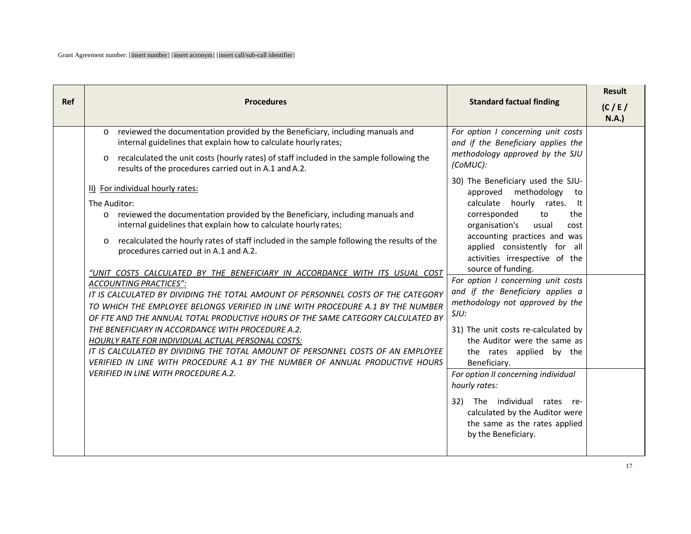| <b>Ref</b> | <b>Procedures</b>                                                                                                                                                                                                                                                                                                                                                                                                                                                                                                                                                                                                                                                                                                                                                                                                                                                                                                                                                                                                                                                                                                                                                                                                                                                                                                                                                                                       | <b>Standard factual finding</b>                                                                                                                                                                                                                                                                                                                                                                                                                                                                                                                                                                                                                                                                                                                                                                                                                         | <b>Result</b><br>(C/E)<br>N.A. |
|------------|---------------------------------------------------------------------------------------------------------------------------------------------------------------------------------------------------------------------------------------------------------------------------------------------------------------------------------------------------------------------------------------------------------------------------------------------------------------------------------------------------------------------------------------------------------------------------------------------------------------------------------------------------------------------------------------------------------------------------------------------------------------------------------------------------------------------------------------------------------------------------------------------------------------------------------------------------------------------------------------------------------------------------------------------------------------------------------------------------------------------------------------------------------------------------------------------------------------------------------------------------------------------------------------------------------------------------------------------------------------------------------------------------------|---------------------------------------------------------------------------------------------------------------------------------------------------------------------------------------------------------------------------------------------------------------------------------------------------------------------------------------------------------------------------------------------------------------------------------------------------------------------------------------------------------------------------------------------------------------------------------------------------------------------------------------------------------------------------------------------------------------------------------------------------------------------------------------------------------------------------------------------------------|--------------------------------|
|            | reviewed the documentation provided by the Beneficiary, including manuals and<br>$\circ$<br>internal guidelines that explain how to calculate hourly rates;<br>recalculated the unit costs (hourly rates) of staff included in the sample following the<br>$\circ$<br>results of the procedures carried out in A.1 and A.2.<br>II) For individual hourly rates:<br>The Auditor:<br>reviewed the documentation provided by the Beneficiary, including manuals and<br>$\circ$<br>internal guidelines that explain how to calculate hourly rates;<br>recalculated the hourly rates of staff included in the sample following the results of the<br>$\circ$<br>procedures carried out in A.1 and A.2.<br>"UNIT COSTS CALCULATED BY THE BENEFICIARY IN ACCORDANCE WITH ITS USUAL COST<br><b>ACCOUNTING PRACTICES":</b><br>IT IS CALCULATED BY DIVIDING THE TOTAL AMOUNT OF PERSONNEL COSTS OF THE CATEGORY<br>TO WHICH THE EMPLOYEE BELONGS VERIFIED IN LINE WITH PROCEDURE A.1 BY THE NUMBER<br>OF FTE AND THE ANNUAL TOTAL PRODUCTIVE HOURS OF THE SAME CATEGORY CALCULATED BY<br>THE BENEFICIARY IN ACCORDANCE WITH PROCEDURE A.2.<br>HOURLY RATE FOR INDIVIDUAL ACTUAL PERSONAL COSTS:<br>IT IS CALCULATED BY DIVIDING THE TOTAL AMOUNT OF PERSONNEL COSTS OF AN EMPLOYEE<br>VERIFIED IN LINE WITH PROCEDURE A.1 BY THE NUMBER OF ANNUAL PRODUCTIVE HOURS<br><b>VERIFIED IN LINE WITH PROCEDURE A.2.</b> | For option I concerning unit costs<br>and if the Beneficiary applies the<br>methodology approved by the SJU<br>(CoMUC):<br>30) The Beneficiary used the SJU-<br>approved methodology<br>to<br>calculate<br>hourly rates.<br>-lt<br>corresponded<br>to<br>the<br>organisation's<br>usual<br>cost<br>accounting practices and was<br>applied consistently for all<br>activities irrespective of the<br>source of funding.<br>For option I concerning unit costs<br>and if the Beneficiary applies a<br>methodology not approved by the<br>SJU:<br>31) The unit costs re-calculated by<br>the Auditor were the same as<br>the rates applied by the<br>Beneficiary.<br>For option II concerning individual<br>hourly rates:<br>32)<br>The individual<br>rates re-<br>calculated by the Auditor were<br>the same as the rates applied<br>by the Beneficiary. |                                |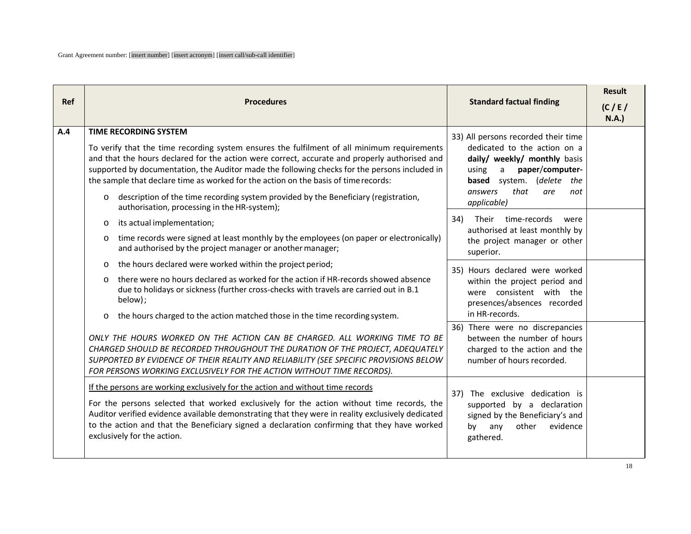| <b>Ref</b> | <b>Procedures</b>                                                                                                                                                                                                                                                                                                                                                                                                                                                                                                                                                                                                                                                                                                                                                                                                                                                                                                                                                                                                                                                                                                                                                                                                                                                                                                                                                                                                  | <b>Standard factual finding</b>                                                                                                                                                                                                                                                                                                                                                                                                                                                                                                                                                                                                         | <b>Result</b><br>(C/E)<br>N.A. |
|------------|--------------------------------------------------------------------------------------------------------------------------------------------------------------------------------------------------------------------------------------------------------------------------------------------------------------------------------------------------------------------------------------------------------------------------------------------------------------------------------------------------------------------------------------------------------------------------------------------------------------------------------------------------------------------------------------------------------------------------------------------------------------------------------------------------------------------------------------------------------------------------------------------------------------------------------------------------------------------------------------------------------------------------------------------------------------------------------------------------------------------------------------------------------------------------------------------------------------------------------------------------------------------------------------------------------------------------------------------------------------------------------------------------------------------|-----------------------------------------------------------------------------------------------------------------------------------------------------------------------------------------------------------------------------------------------------------------------------------------------------------------------------------------------------------------------------------------------------------------------------------------------------------------------------------------------------------------------------------------------------------------------------------------------------------------------------------------|--------------------------------|
| A.4        | <b>TIME RECORDING SYSTEM</b><br>To verify that the time recording system ensures the fulfilment of all minimum requirements<br>and that the hours declared for the action were correct, accurate and properly authorised and<br>supported by documentation, the Auditor made the following checks for the persons included in<br>the sample that declare time as worked for the action on the basis of time records:<br>description of the time recording system provided by the Beneficiary (registration,<br>$\circ$<br>authorisation, processing in the HR-system);<br>its actual implementation;<br>$\circ$<br>time records were signed at least monthly by the employees (on paper or electronically)<br>$\circ$<br>and authorised by the project manager or another manager;<br>the hours declared were worked within the project period;<br>$\circ$<br>there were no hours declared as worked for the action if HR-records showed absence<br>$\Omega$<br>due to holidays or sickness (further cross-checks with travels are carried out in B.1<br>below);<br>the hours charged to the action matched those in the time recording system.<br>$\circ$<br>ONLY THE HOURS WORKED ON THE ACTION CAN BE CHARGED. ALL WORKING TIME TO BE<br>CHARGED SHOULD BE RECORDED THROUGHOUT THE DURATION OF THE PROJECT, ADEQUATELY<br>SUPPORTED BY EVIDENCE OF THEIR REALITY AND RELIABILITY (SEE SPECIFIC PROVISIONS BELOW | 33) All persons recorded their time<br>dedicated to the action on a<br>daily/ weekly/ monthly basis<br>paper/computer-<br>$\mathsf{a}$<br>using<br><b>based</b> system. (delete the<br>that<br>answers<br>are<br>not<br>applicable)<br>34)<br>Their time-records<br>were<br>authorised at least monthly by<br>the project manager or other<br>superior.<br>35) Hours declared were worked<br>within the project period and<br>were consistent with the<br>presences/absences recorded<br>in HR-records.<br>36) There were no discrepancies<br>between the number of hours<br>charged to the action and the<br>number of hours recorded. |                                |
|            | FOR PERSONS WORKING EXCLUSIVELY FOR THE ACTION WITHOUT TIME RECORDS).<br>If the persons are working exclusively for the action and without time records<br>For the persons selected that worked exclusively for the action without time records, the<br>Auditor verified evidence available demonstrating that they were in reality exclusively dedicated<br>to the action and that the Beneficiary signed a declaration confirming that they have worked<br>exclusively for the action.                                                                                                                                                                                                                                                                                                                                                                                                                                                                                                                                                                                                                                                                                                                                                                                                                                                                                                                           | The exclusive dedication is<br>37)<br>supported by a declaration<br>signed by the Beneficiary's and<br>other<br>evidence<br>any<br>by<br>gathered.                                                                                                                                                                                                                                                                                                                                                                                                                                                                                      |                                |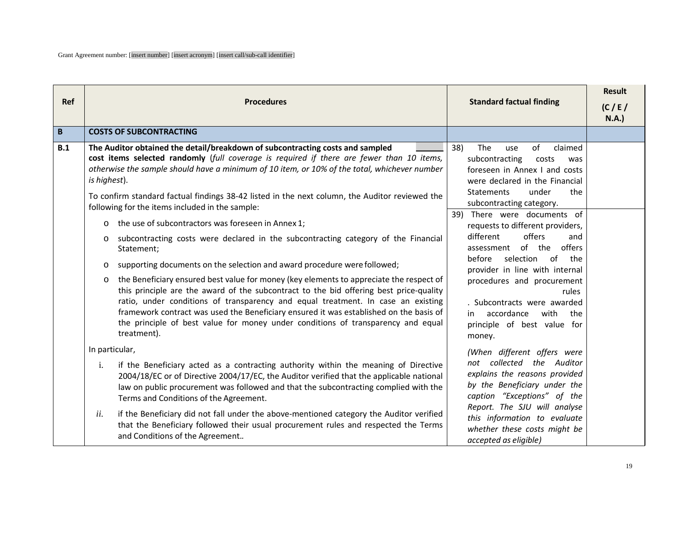| <b>Ref</b> | <b>Procedures</b>                                                                                                                                                                                                                                                                                                                                                                                                                                                             | <b>Standard factual finding</b>                                                                                                                                              | <b>Result</b><br>(C/E) |
|------------|-------------------------------------------------------------------------------------------------------------------------------------------------------------------------------------------------------------------------------------------------------------------------------------------------------------------------------------------------------------------------------------------------------------------------------------------------------------------------------|------------------------------------------------------------------------------------------------------------------------------------------------------------------------------|------------------------|
| B          | <b>COSTS OF SUBCONTRACTING</b>                                                                                                                                                                                                                                                                                                                                                                                                                                                |                                                                                                                                                                              | N.A.                   |
|            |                                                                                                                                                                                                                                                                                                                                                                                                                                                                               |                                                                                                                                                                              |                        |
| B.1        | The Auditor obtained the detail/breakdown of subcontracting costs and sampled<br>cost items selected randomly (full coverage is required if there are fewer than 10 items,<br>otherwise the sample should have a minimum of 10 item, or 10% of the total, whichever number<br>is highest).                                                                                                                                                                                    | 38)<br>The<br>of<br>claimed<br>use<br>subcontracting<br>costs<br>was<br>foreseen in Annex I and costs<br>were declared in the Financial<br>under<br><b>Statements</b><br>the |                        |
|            | To confirm standard factual findings 38-42 listed in the next column, the Auditor reviewed the<br>following for the items included in the sample:                                                                                                                                                                                                                                                                                                                             | subcontracting category.                                                                                                                                                     |                        |
|            | the use of subcontractors was foreseen in Annex 1;<br>$\circ$                                                                                                                                                                                                                                                                                                                                                                                                                 | 39) There were documents of<br>requests to different providers,                                                                                                              |                        |
|            | subcontracting costs were declared in the subcontracting category of the Financial<br>$\circ$<br>Statement;                                                                                                                                                                                                                                                                                                                                                                   | different<br>offers<br>and<br>of the<br>offers<br>assessment                                                                                                                 |                        |
|            | supporting documents on the selection and award procedure were followed;<br>$\circ$                                                                                                                                                                                                                                                                                                                                                                                           | before<br>selection<br>of<br>the<br>provider in line with internal                                                                                                           |                        |
|            | the Beneficiary ensured best value for money (key elements to appreciate the respect of<br>$\circ$<br>this principle are the award of the subcontract to the bid offering best price-quality<br>ratio, under conditions of transparency and equal treatment. In case an existing<br>framework contract was used the Beneficiary ensured it was established on the basis of<br>the principle of best value for money under conditions of transparency and equal<br>treatment). | procedures and procurement<br>rules<br>. Subcontracts were awarded<br>accordance<br>with<br>the<br>in<br>principle of best value for<br>money.                               |                        |
|            | In particular,                                                                                                                                                                                                                                                                                                                                                                                                                                                                | (When different offers were                                                                                                                                                  |                        |
|            | i.<br>if the Beneficiary acted as a contracting authority within the meaning of Directive<br>2004/18/EC or of Directive 2004/17/EC, the Auditor verified that the applicable national<br>law on public procurement was followed and that the subcontracting complied with the<br>Terms and Conditions of the Agreement.                                                                                                                                                       | not collected the Auditor<br>explains the reasons provided<br>by the Beneficiary under the<br>caption "Exceptions" of the                                                    |                        |
|            | if the Beneficiary did not fall under the above-mentioned category the Auditor verified<br>ii.<br>that the Beneficiary followed their usual procurement rules and respected the Terms<br>and Conditions of the Agreement                                                                                                                                                                                                                                                      | Report. The SJU will analyse<br>this information to evaluate<br>whether these costs might be<br>accepted as eligible)                                                        |                        |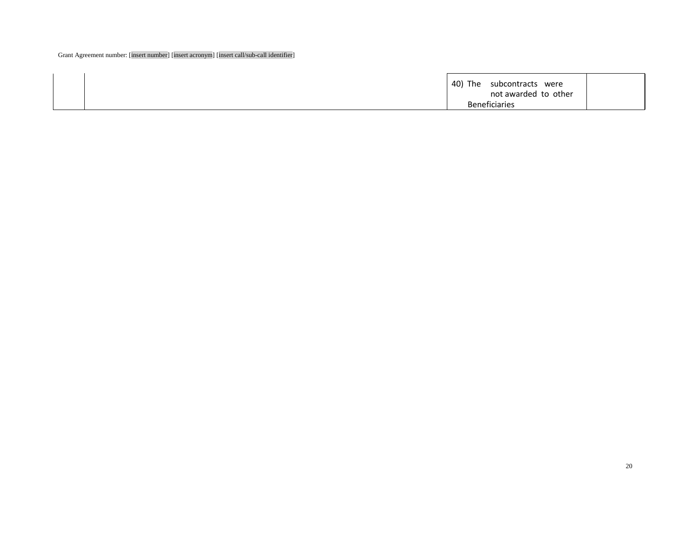| 40) The<br>subcontracts<br>were<br>not awarded to other |  |
|---------------------------------------------------------|--|
| <b>Beneficiaries</b>                                    |  |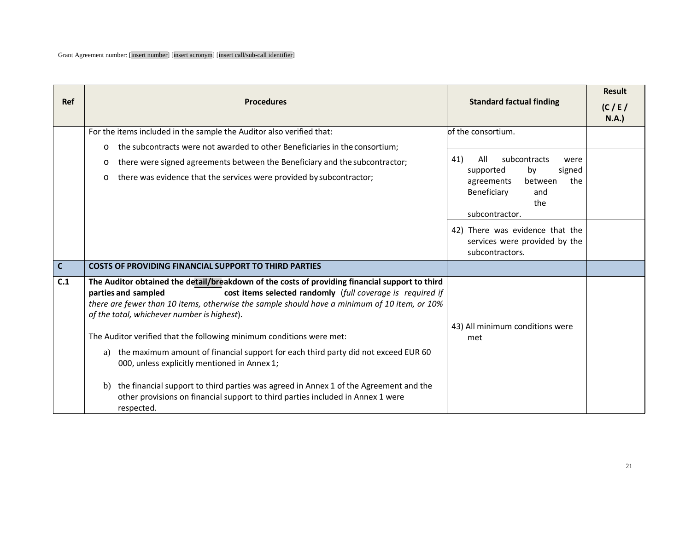|             |                                                                                                                                                                                                                                                                                                                                    |                                                                                     | <b>Result</b> |
|-------------|------------------------------------------------------------------------------------------------------------------------------------------------------------------------------------------------------------------------------------------------------------------------------------------------------------------------------------|-------------------------------------------------------------------------------------|---------------|
| <b>Ref</b>  | <b>Procedures</b>                                                                                                                                                                                                                                                                                                                  | <b>Standard factual finding</b>                                                     | (C/E)<br>N.A. |
|             | For the items included in the sample the Auditor also verified that:                                                                                                                                                                                                                                                               | of the consortium.                                                                  |               |
|             | the subcontracts were not awarded to other Beneficiaries in the consortium;<br>$\circ$                                                                                                                                                                                                                                             |                                                                                     |               |
|             | there were signed agreements between the Beneficiary and the subcontractor;<br>$\circ$                                                                                                                                                                                                                                             | 41)<br>All<br>subcontracts<br>were<br>by<br>signed<br>supported                     |               |
|             | there was evidence that the services were provided by subcontractor;<br>$\circ$                                                                                                                                                                                                                                                    | between<br>the<br>agreements<br>Beneficiary<br>and<br>the<br>subcontractor.         |               |
|             |                                                                                                                                                                                                                                                                                                                                    | 42) There was evidence that the<br>services were provided by the<br>subcontractors. |               |
| $\mathbf c$ | <b>COSTS OF PROVIDING FINANCIAL SUPPORT TO THIRD PARTIES</b>                                                                                                                                                                                                                                                                       |                                                                                     |               |
| C.1         | The Auditor obtained the detail/breakdown of the costs of providing financial support to third<br>cost items selected randomly (full coverage is required if<br>parties and sampled<br>there are fewer than 10 items, otherwise the sample should have a minimum of 10 item, or 10%<br>of the total, whichever number is highest). |                                                                                     |               |
|             | The Auditor verified that the following minimum conditions were met:                                                                                                                                                                                                                                                               | 43) All minimum conditions were<br>met                                              |               |
|             | the maximum amount of financial support for each third party did not exceed EUR 60<br>a)<br>000, unless explicitly mentioned in Annex 1;                                                                                                                                                                                           |                                                                                     |               |
|             | the financial support to third parties was agreed in Annex 1 of the Agreement and the<br>b)<br>other provisions on financial support to third parties included in Annex 1 were<br>respected.                                                                                                                                       |                                                                                     |               |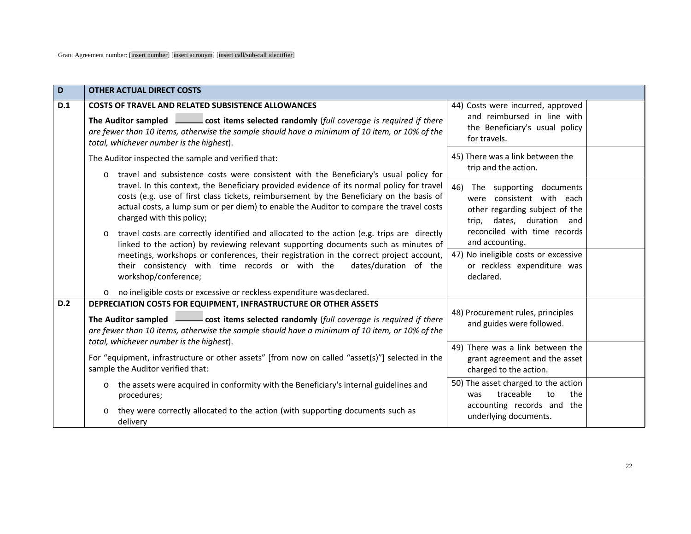| D   | <b>OTHER ACTUAL DIRECT COSTS</b>                                                                                                                                                                                                                                                                                                                                                                                  |                                                                                                                             |
|-----|-------------------------------------------------------------------------------------------------------------------------------------------------------------------------------------------------------------------------------------------------------------------------------------------------------------------------------------------------------------------------------------------------------------------|-----------------------------------------------------------------------------------------------------------------------------|
| D.1 | <b>COSTS OF TRAVEL AND RELATED SUBSISTENCE ALLOWANCES</b>                                                                                                                                                                                                                                                                                                                                                         | 44) Costs were incurred, approved<br>and reimbursed in line with                                                            |
|     | The Auditor sampled cost items selected randomly (full coverage is required if there<br>are fewer than 10 items, otherwise the sample should have a minimum of 10 item, or 10% of the<br>total, whichever number is the highest).                                                                                                                                                                                 | the Beneficiary's usual policy<br>for travels.                                                                              |
|     | The Auditor inspected the sample and verified that:                                                                                                                                                                                                                                                                                                                                                               | 45) There was a link between the<br>trip and the action.                                                                    |
|     | travel and subsistence costs were consistent with the Beneficiary's usual policy for<br>$\circ$<br>travel. In this context, the Beneficiary provided evidence of its normal policy for travel<br>costs (e.g. use of first class tickets, reimbursement by the Beneficiary on the basis of<br>actual costs, a lump sum or per diem) to enable the Auditor to compare the travel costs<br>charged with this policy; | 46)<br>The supporting documents<br>were consistent with each<br>other regarding subject of the<br>trip, dates, duration and |
|     | travel costs are correctly identified and allocated to the action (e.g. trips are directly<br>$\circ$<br>linked to the action) by reviewing relevant supporting documents such as minutes of                                                                                                                                                                                                                      | reconciled with time records<br>and accounting.<br>47) No ineligible costs or excessive                                     |
|     | meetings, workshops or conferences, their registration in the correct project account,<br>their consistency with time records or with the<br>dates/duration of the<br>workshop/conference;                                                                                                                                                                                                                        | or reckless expenditure was<br>declared.                                                                                    |
|     | o no ineligible costs or excessive or reckless expenditure was declared.                                                                                                                                                                                                                                                                                                                                          |                                                                                                                             |
| D.2 | DEPRECIATION COSTS FOR EQUIPMENT, INFRASTRUCTURE OR OTHER ASSETS<br>The Auditor sampled <b>Containery</b> cost items selected randomly (full coverage is required if there<br>are fewer than 10 items, otherwise the sample should have a minimum of 10 item, or 10% of the                                                                                                                                       | 48) Procurement rules, principles<br>and guides were followed.                                                              |
|     | total, whichever number is the highest).<br>For "equipment, infrastructure or other assets" [from now on called "asset(s)"] selected in the<br>sample the Auditor verified that:                                                                                                                                                                                                                                  | 49) There was a link between the<br>grant agreement and the asset<br>charged to the action.                                 |
|     | o the assets were acquired in conformity with the Beneficiary's internal guidelines and<br>procedures;                                                                                                                                                                                                                                                                                                            | 50) The asset charged to the action<br>traceable<br>to<br>the<br>was                                                        |
|     | they were correctly allocated to the action (with supporting documents such as<br>$\circ$<br>delivery                                                                                                                                                                                                                                                                                                             | accounting records and the<br>underlying documents.                                                                         |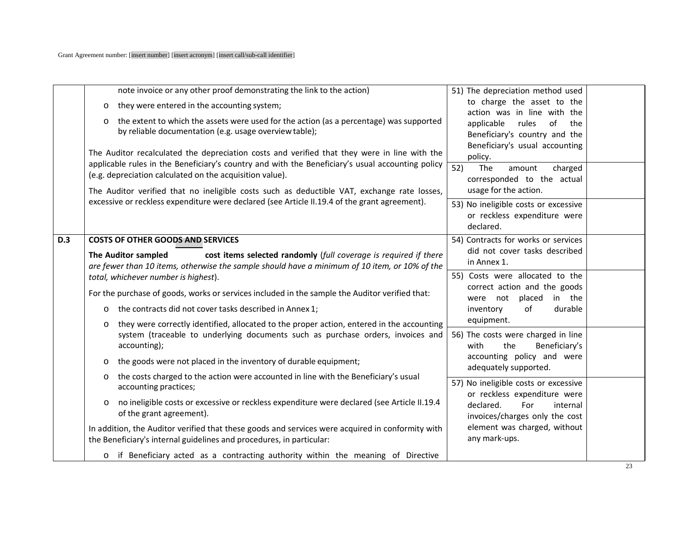|            | note invoice or any other proof demonstrating the link to the action)                                                                                                                                   | 51) The depreciation method used                                                                 |  |
|------------|---------------------------------------------------------------------------------------------------------------------------------------------------------------------------------------------------------|--------------------------------------------------------------------------------------------------|--|
|            | they were entered in the accounting system;<br>$\circ$                                                                                                                                                  | to charge the asset to the                                                                       |  |
|            | the extent to which the assets were used for the action (as a percentage) was supported<br>$\circ$<br>by reliable documentation (e.g. usage overview table);                                            | action was in line with the<br>applicable<br>of<br>rules<br>the<br>Beneficiary's country and the |  |
|            | The Auditor recalculated the depreciation costs and verified that they were in line with the<br>applicable rules in the Beneficiary's country and with the Beneficiary's usual accounting policy        | Beneficiary's usual accounting<br>policy.<br>52)<br>The<br>charged<br>amount                     |  |
|            | (e.g. depreciation calculated on the acquisition value).                                                                                                                                                | corresponded to the actual                                                                       |  |
|            | The Auditor verified that no ineligible costs such as deductible VAT, exchange rate losses,                                                                                                             | usage for the action.                                                                            |  |
|            | excessive or reckless expenditure were declared (see Article II.19.4 of the grant agreement).                                                                                                           | 53) No ineligible costs or excessive<br>or reckless expenditure were<br>declared.                |  |
| <b>D.3</b> | <b>COSTS OF OTHER GOODS AND SERVICES</b>                                                                                                                                                                | 54) Contracts for works or services                                                              |  |
|            | The Auditor sampled<br>cost items selected randomly (full coverage is required if there<br>are fewer than 10 items, otherwise the sample should have a minimum of 10 item, or 10% of the                | did not cover tasks described<br>in Annex 1.                                                     |  |
|            | total, whichever number is highest).                                                                                                                                                                    | 55) Costs were allocated to the                                                                  |  |
|            | For the purchase of goods, works or services included in the sample the Auditor verified that:                                                                                                          | correct action and the goods<br>were not placed<br>in the                                        |  |
|            | the contracts did not cover tasks described in Annex 1;<br>$\circ$                                                                                                                                      | of<br>durable<br>inventory                                                                       |  |
|            | they were correctly identified, allocated to the proper action, entered in the accounting<br>$\circ$<br>system (traceable to underlying documents such as purchase orders, invoices and<br>accounting); | equipment.<br>56) The costs were charged in line<br>the<br>Beneficiary's<br>with                 |  |
|            | the goods were not placed in the inventory of durable equipment;<br>$\circ$                                                                                                                             | accounting policy and were<br>adequately supported.                                              |  |
|            | the costs charged to the action were accounted in line with the Beneficiary's usual<br>$\circ$<br>accounting practices;                                                                                 | 57) No ineligible costs or excessive<br>or reckless expenditure were                             |  |
|            | no ineligible costs or excessive or reckless expenditure were declared (see Article II.19.4<br>$\circ$<br>of the grant agreement).                                                                      | declared.<br>For<br>internal<br>invoices/charges only the cost                                   |  |
|            | In addition, the Auditor verified that these goods and services were acquired in conformity with<br>the Beneficiary's internal guidelines and procedures, in particular:                                | element was charged, without<br>any mark-ups.                                                    |  |
|            | o if Beneficiary acted as a contracting authority within the meaning of Directive                                                                                                                       |                                                                                                  |  |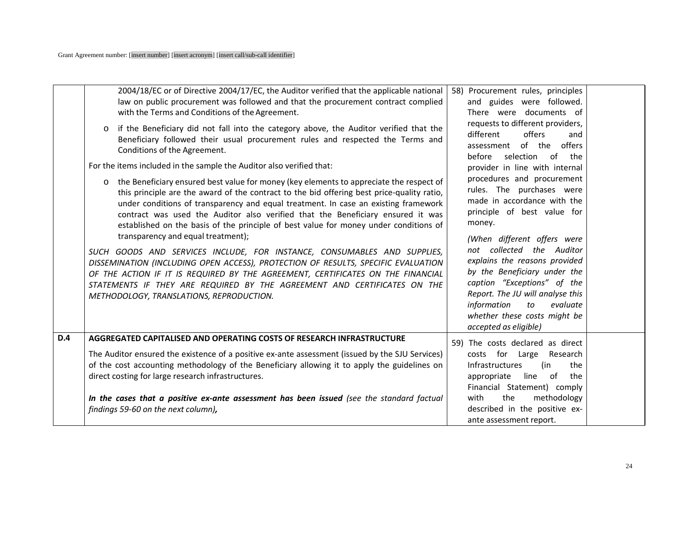|            | 2004/18/EC or of Directive 2004/17/EC, the Auditor verified that the applicable national<br>law on public procurement was followed and that the procurement contract complied<br>with the Terms and Conditions of the Agreement.                                                                                                                                                                                                                                                                          | 58) Procurement rules, principles<br>and guides were followed.<br>There were documents of                                                                                                                                                                                              |
|------------|-----------------------------------------------------------------------------------------------------------------------------------------------------------------------------------------------------------------------------------------------------------------------------------------------------------------------------------------------------------------------------------------------------------------------------------------------------------------------------------------------------------|----------------------------------------------------------------------------------------------------------------------------------------------------------------------------------------------------------------------------------------------------------------------------------------|
|            | if the Beneficiary did not fall into the category above, the Auditor verified that the<br>$\circ$<br>Beneficiary followed their usual procurement rules and respected the Terms and<br>Conditions of the Agreement.                                                                                                                                                                                                                                                                                       | requests to different providers,<br>different<br>offers<br>and<br>of the offers<br>assessment<br>before<br>selection of<br>the                                                                                                                                                         |
|            | For the items included in the sample the Auditor also verified that:                                                                                                                                                                                                                                                                                                                                                                                                                                      | provider in line with internal                                                                                                                                                                                                                                                         |
|            | the Beneficiary ensured best value for money (key elements to appreciate the respect of<br>$\circ$<br>this principle are the award of the contract to the bid offering best price-quality ratio,<br>under conditions of transparency and equal treatment. In case an existing framework<br>contract was used the Auditor also verified that the Beneficiary ensured it was<br>established on the basis of the principle of best value for money under conditions of<br>transparency and equal treatment); | procedures and procurement<br>rules. The purchases were<br>made in accordance with the<br>principle of best value for<br>money.                                                                                                                                                        |
|            | SUCH GOODS AND SERVICES INCLUDE, FOR INSTANCE, CONSUMABLES AND SUPPLIES,<br>DISSEMINATION (INCLUDING OPEN ACCESS), PROTECTION OF RESULTS, SPECIFIC EVALUATION<br>OF THE ACTION IF IT IS REQUIRED BY THE AGREEMENT, CERTIFICATES ON THE FINANCIAL<br>STATEMENTS IF THEY ARE REQUIRED BY THE AGREEMENT AND CERTIFICATES ON THE<br>METHODOLOGY, TRANSLATIONS, REPRODUCTION.                                                                                                                                  | (When different offers were<br>not collected the Auditor<br>explains the reasons provided<br>by the Beneficiary under the<br>caption "Exceptions" of the<br>Report. The JU will analyse this<br>information<br>evaluate<br>to<br>whether these costs might be<br>accepted as eligible) |
| <b>D.4</b> | AGGREGATED CAPITALISED AND OPERATING COSTS OF RESEARCH INFRASTRUCTURE                                                                                                                                                                                                                                                                                                                                                                                                                                     | 59) The costs declared as direct                                                                                                                                                                                                                                                       |
|            | The Auditor ensured the existence of a positive ex-ante assessment (issued by the SJU Services)<br>of the cost accounting methodology of the Beneficiary allowing it to apply the guidelines on<br>direct costing for large research infrastructures.                                                                                                                                                                                                                                                     | costs for Large Research<br><b>Infrastructures</b><br>(in<br>the<br>line of<br>appropriate<br>the<br>Financial Statement) comply                                                                                                                                                       |
|            | In the cases that a positive ex-ante assessment has been issued (see the standard factual<br>findings 59-60 on the next column),                                                                                                                                                                                                                                                                                                                                                                          | with<br>the<br>methodology<br>described in the positive ex-<br>ante assessment report.                                                                                                                                                                                                 |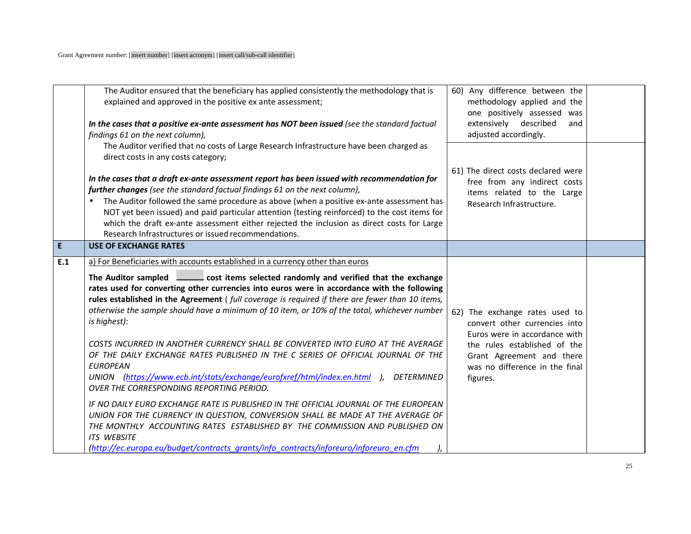|     | The Auditor ensured that the beneficiary has applied consistently the methodology that is<br>explained and approved in the positive ex ante assessment;<br>In the cases that a positive ex-ante assessment has NOT been issued (see the standard factual<br>findings 61 on the next column),                                                                                                                                                                                                                                                                                                                                                                                                                                                                                                                                                                                                                                                                                                                                                                                                                                                                                               | 60) Any difference between the<br>methodology applied and the<br>one positively assessed was<br>extensively described<br>and<br>adjusted accordingly.                                                       |  |
|-----|--------------------------------------------------------------------------------------------------------------------------------------------------------------------------------------------------------------------------------------------------------------------------------------------------------------------------------------------------------------------------------------------------------------------------------------------------------------------------------------------------------------------------------------------------------------------------------------------------------------------------------------------------------------------------------------------------------------------------------------------------------------------------------------------------------------------------------------------------------------------------------------------------------------------------------------------------------------------------------------------------------------------------------------------------------------------------------------------------------------------------------------------------------------------------------------------|-------------------------------------------------------------------------------------------------------------------------------------------------------------------------------------------------------------|--|
|     | The Auditor verified that no costs of Large Research Infrastructure have been charged as<br>direct costs in any costs category;<br>In the cases that a draft ex-ante assessment report has been issued with recommendation for<br>further changes (see the standard factual findings 61 on the next column),<br>The Auditor followed the same procedure as above (when a positive ex-ante assessment has<br>NOT yet been issued) and paid particular attention (testing reinforced) to the cost items for<br>which the draft ex-ante assessment either rejected the inclusion as direct costs for Large<br>Research Infrastructures or issued recommendations.                                                                                                                                                                                                                                                                                                                                                                                                                                                                                                                             | 61) The direct costs declared were<br>free from any indirect costs<br>items related to the Large<br>Research Infrastructure.                                                                                |  |
| E.  | <b>USE OF EXCHANGE RATES</b>                                                                                                                                                                                                                                                                                                                                                                                                                                                                                                                                                                                                                                                                                                                                                                                                                                                                                                                                                                                                                                                                                                                                                               |                                                                                                                                                                                                             |  |
| E.1 | a) For Beneficiaries with accounts established in a currency other than euros<br>The Auditor sampled<br>cost items selected randomly and verified that the exchange<br>rates used for converting other currencies into euros were in accordance with the following<br>rules established in the Agreement (full coverage is required if there are fewer than 10 items,<br>otherwise the sample should have a minimum of 10 item, or 10% of the total, whichever number<br>is highest):<br>COSTS INCURRED IN ANOTHER CURRENCY SHALL BE CONVERTED INTO EURO AT THE AVERAGE<br>OF THE DAILY EXCHANGE RATES PUBLISHED IN THE C SERIES OF OFFICIAL JOURNAL OF THE<br><b>EUROPEAN</b><br>UNION (https://www.ecb.int/stats/exchange/eurofxref/html/index.en.html ), DETERMINED<br>OVER THE CORRESPONDING REPORTING PERIOD.<br>IF NO DAILY EURO EXCHANGE RATE IS PUBLISHED IN THE OFFICIAL JOURNAL OF THE EUROPEAN<br>UNION FOR THE CURRENCY IN QUESTION, CONVERSION SHALL BE MADE AT THE AVERAGE OF<br>THE MONTHLY ACCOUNTING RATES ESTABLISHED BY THE COMMISSION AND PUBLISHED ON<br><b>ITS WEBSITE</b><br>(http://ec.europa.eu/budget/contracts_grants/info_contracts/inforeuro/inforeuro_en.cfm | 62) The exchange rates used to<br>convert other currencies into<br>Euros were in accordance with<br>the rules established of the<br>Grant Agreement and there<br>was no difference in the final<br>figures. |  |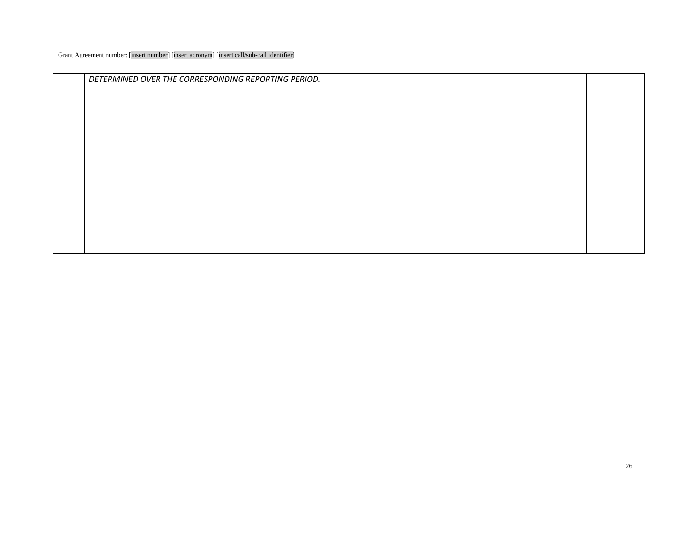| DETERMINED OVER THE CORRESPONDING REPORTING PERIOD. |  |
|-----------------------------------------------------|--|
|                                                     |  |
|                                                     |  |
|                                                     |  |
|                                                     |  |
|                                                     |  |
|                                                     |  |
|                                                     |  |
|                                                     |  |
|                                                     |  |
|                                                     |  |
|                                                     |  |
|                                                     |  |